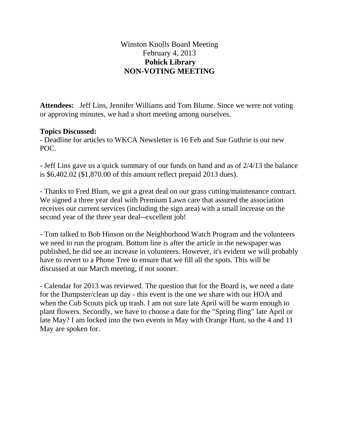## Winston Knolls Board Meeting February 4, 2013 **Pohick Library NON-VOTING MEETING**

**Attendees:** Jeff Lins, Jennifer Williams and Tom Blume. Since we were not voting or approving minutes, we had a short meeting among ourselves.

## **Topics Discussed:**

- Deadline for articles to WKCA Newsletter is 16 Feb and Sue Guthrie is our new POC.

- Jeff Lins gave us a quick summary of our funds on hand and as of 2/4/13 the balance is \$6,402.02 (\$1,870.00 of this amount reflect prepaid 2013 dues).

- Thanks to Fred Blum, we got a great deal on our grass cutting/maintenance contract. We signed a three year deal with Premium Lawn care that assured the association receives our current services (including the sign area) with a small increase on the second year of the three year deal--excellent job!

- Tom talked to Bob Hinson on the Neighborhood Watch Program and the volunteers we need to run the program. Bottom line is after the article in the newspaper was published, he did see an increase in volunteers. However, it's evident we will probably have to revert to a Phone Tree to ensure that we fill all the spots. This will be discussed at our March meeting, if not sooner.

- Calendar for 2013 was reviewed. The question that for the Board is, we need a date for the Dumpster/clean up day - this event is the one we share with our HOA and when the Cub Scouts pick up trash. I am not sure late April will be warm enough to plant flowers. Secondly, we have to choose a date for the "Spring fling" late April or late May? I am locked into the two events in May with Orange Hunt, so the 4 and 11 May are spoken for.